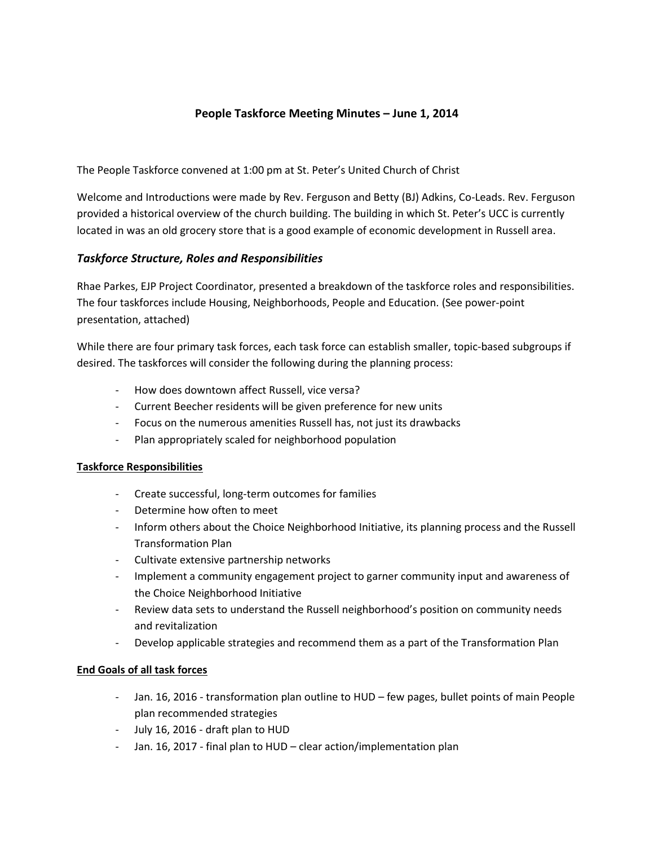### **People Taskforce Meeting Minutes – June 1, 2014**

The People Taskforce convened at 1:00 pm at St. Peter's United Church of Christ

Welcome and Introductions were made by Rev. Ferguson and Betty (BJ) Adkins, Co-Leads. Rev. Ferguson provided a historical overview of the church building. The building in which St. Peter's UCC is currently located in was an old grocery store that is a good example of economic development in Russell area.

#### *Taskforce Structure, Roles and Responsibilities*

Rhae Parkes, EJP Project Coordinator, presented a breakdown of the taskforce roles and responsibilities. The four taskforces include Housing, Neighborhoods, People and Education. (See power-point presentation, attached)

While there are four primary task forces, each task force can establish smaller, topic-based subgroups if desired. The taskforces will consider the following during the planning process:

- How does downtown affect Russell, vice versa?
- Current Beecher residents will be given preference for new units
- Focus on the numerous amenities Russell has, not just its drawbacks
- Plan appropriately scaled for neighborhood population

#### **Taskforce Responsibilities**

- Create successful, long-term outcomes for families
- Determine how often to meet
- Inform others about the Choice Neighborhood Initiative, its planning process and the Russell Transformation Plan
- Cultivate extensive partnership networks
- Implement a community engagement project to garner community input and awareness of the Choice Neighborhood Initiative
- Review data sets to understand the Russell neighborhood's position on community needs and revitalization
- Develop applicable strategies and recommend them as a part of the Transformation Plan

#### **End Goals of all task forces**

- Jan. 16, 2016 transformation plan outline to HUD few pages, bullet points of main People plan recommended strategies
- July 16, 2016 draft plan to HUD
- Jan. 16, 2017 final plan to HUD clear action/implementation plan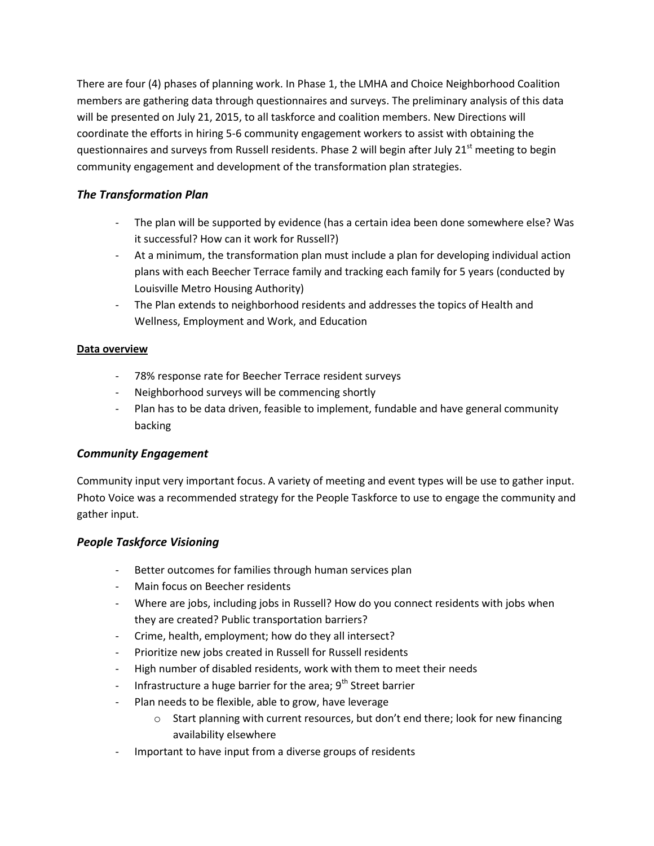There are four (4) phases of planning work. In Phase 1, the LMHA and Choice Neighborhood Coalition members are gathering data through questionnaires and surveys. The preliminary analysis of this data will be presented on July 21, 2015, to all taskforce and coalition members. New Directions will coordinate the efforts in hiring 5-6 community engagement workers to assist with obtaining the questionnaires and surveys from Russell residents. Phase 2 will begin after July 21<sup>st</sup> meeting to begin community engagement and development of the transformation plan strategies.

# *The Transformation Plan*

- The plan will be supported by evidence (has a certain idea been done somewhere else? Was it successful? How can it work for Russell?)
- At a minimum, the transformation plan must include a plan for developing individual action plans with each Beecher Terrace family and tracking each family for 5 years (conducted by Louisville Metro Housing Authority)
- The Plan extends to neighborhood residents and addresses the topics of Health and Wellness, Employment and Work, and Education

### **Data overview**

- 78% response rate for Beecher Terrace resident surveys
- Neighborhood surveys will be commencing shortly
- Plan has to be data driven, feasible to implement, fundable and have general community backing

# *Community Engagement*

Community input very important focus. A variety of meeting and event types will be use to gather input. Photo Voice was a recommended strategy for the People Taskforce to use to engage the community and gather input.

# *People Taskforce Visioning*

- Better outcomes for families through human services plan
- Main focus on Beecher residents
- Where are jobs, including jobs in Russell? How do you connect residents with jobs when they are created? Public transportation barriers?
- Crime, health, employment; how do they all intersect?
- Prioritize new jobs created in Russell for Russell residents
- High number of disabled residents, work with them to meet their needs
- Infrastructure a huge barrier for the area;  $9<sup>th</sup>$  Street barrier
- Plan needs to be flexible, able to grow, have leverage
	- $\circ$  Start planning with current resources, but don't end there; look for new financing availability elsewhere
- Important to have input from a diverse groups of residents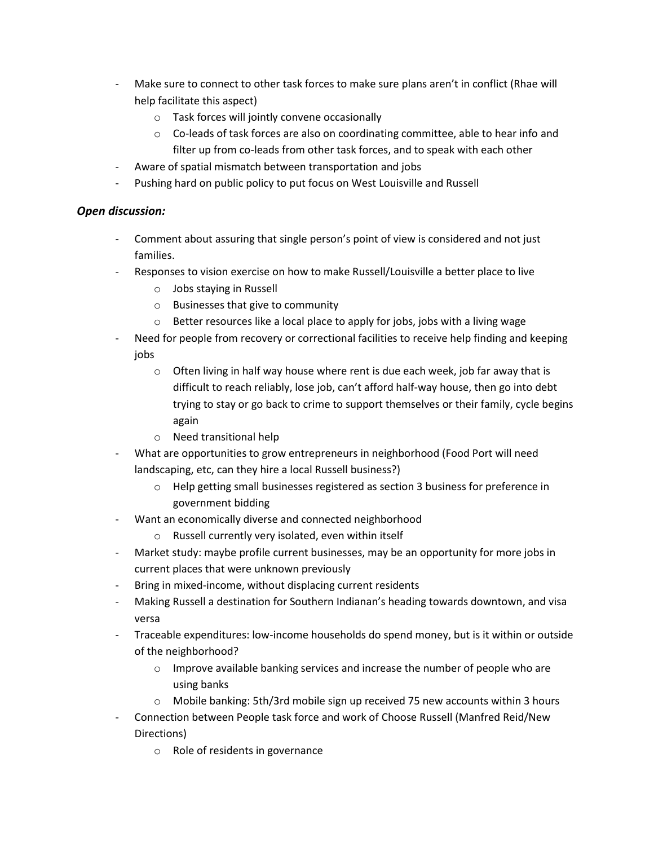- Make sure to connect to other task forces to make sure plans aren't in conflict (Rhae will help facilitate this aspect)
	- o Task forces will jointly convene occasionally
	- o Co-leads of task forces are also on coordinating committee, able to hear info and filter up from co-leads from other task forces, and to speak with each other
- Aware of spatial mismatch between transportation and jobs
- Pushing hard on public policy to put focus on West Louisville and Russell

### *Open discussion:*

- Comment about assuring that single person's point of view is considered and not just families.
- Responses to vision exercise on how to make Russell/Louisville a better place to live
	- o Jobs staying in Russell
	- o Businesses that give to community
	- o Better resources like a local place to apply for jobs, jobs with a living wage
- Need for people from recovery or correctional facilities to receive help finding and keeping jobs
	- $\circ$  Often living in half way house where rent is due each week, job far away that is difficult to reach reliably, lose job, can't afford half-way house, then go into debt trying to stay or go back to crime to support themselves or their family, cycle begins again
	- o Need transitional help
- What are opportunities to grow entrepreneurs in neighborhood (Food Port will need landscaping, etc, can they hire a local Russell business?)
	- o Help getting small businesses registered as section 3 business for preference in government bidding
- Want an economically diverse and connected neighborhood
	- o Russell currently very isolated, even within itself
- Market study: maybe profile current businesses, may be an opportunity for more jobs in current places that were unknown previously
- Bring in mixed-income, without displacing current residents
- Making Russell a destination for Southern Indianan's heading towards downtown, and visa versa
- Traceable expenditures: low-income households do spend money, but is it within or outside of the neighborhood?
	- o Improve available banking services and increase the number of people who are using banks
	- $\circ$  Mobile banking: 5th/3rd mobile sign up received 75 new accounts within 3 hours
- Connection between People task force and work of Choose Russell (Manfred Reid/New Directions)
	- o Role of residents in governance